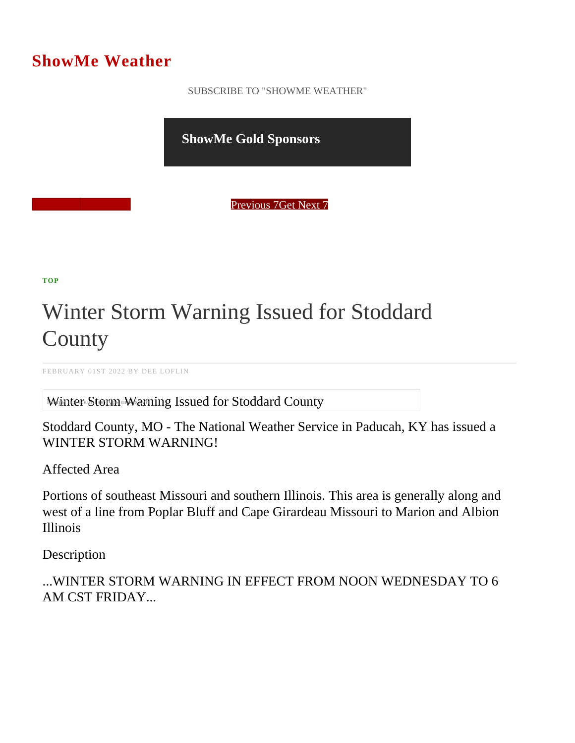## ShowMe Weather

 [SUBSCRIBE TO "SHOWME WEATHER"](/blog_rss.php)

ShowMe Gold Sponsors

Previous Get Next 7

[TOP](/var/www/showmetimes.com/root/javascript:blogScrollToTop()

## Winter Storm Warning Issued for Stoddard **County**

FEBRUARY 01ST 2022 BY DEE LOFLIN

Winter Storm Warning Issued for Stoddard County

Stoddard County, MO - The National Weather Service in Paducah, KY has issued a WINTER STORM WARNING!

Affected Area

Portions of southeast Missouri and southern Illinois. This area is generally along and west of a line from Poplar Bluff and Cape Girardeau Missouri to Marion and Albion Illinois

**Description** 

...WINTER STORM WARNING IN EFFECT FROM NOON WEDNESDAY TO 6 AM CST FRIDAY...